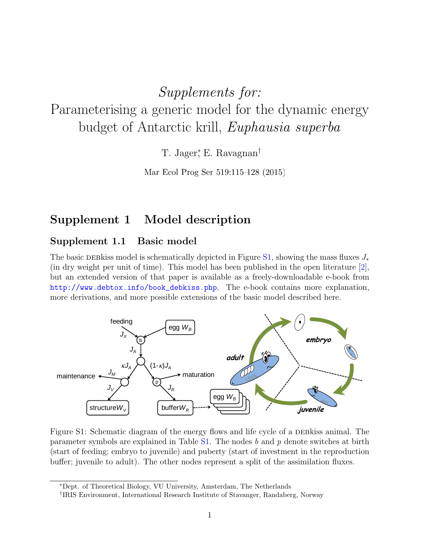# Supplements for:

Parameterising a generic model for the dynamic energy budget of Antarctic krill, Euphausia superba

T. Jager<sup>\*</sup>, E. Ravagnan<sup>†</sup>

Mar Ecol Prog Ser 519:115–128 (2015)

# Supplement 1 Model description

### Supplement 1.1 Basic model

The basic DEBkiss model is schematically depicted in Figure [S1,](#page-0-0) showing the mass fluxes  $J_*$ (in dry weight per unit of time). This model has been published in the open literature [\[2\]](#page-12-0), but an extended version of that paper is available as a freely-downloadable e-book from [http://www.debtox.info/book\\_debkiss.php](http://www.debtox.info/book_debkiss.php). The e-book contains more explanation, more derivations, and more possible extensions of the basic model described here.



Figure S1: Schematic diagram of the energy flows and life cycle of a DEB kiss animal. The parameter symbols are explained in Table  $S1$ . The nodes b and p denote switches at birth (start of feeding; embryo to juvenile) and puberty (start of investment in the reproduction buffer; juvenile to adult). The other nodes represent a split of the assimilation fluxes.

<span id="page-0-0"></span><sup>∗</sup>Dept. of Theoretical Biology, VU University, Amsterdam, The Netherlands

<sup>†</sup> IRIS Environment, International Research Institute of Stavanger, Randaberg, Norway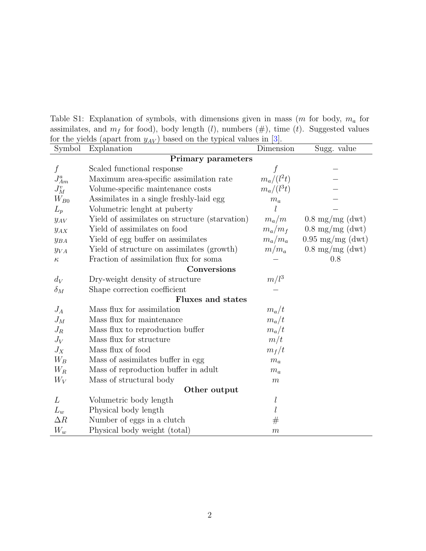Table S1: Explanation of symbols, with dimensions given in mass  $(m \text{ for body}, m_a \text{ for }$ assimilates, and  $m_f$  for food), body length (l), numbers (#), time (t). Suggested values for the yields (apart from  $y_{AV}$ ) based on the typical values in [\[3\]](#page-12-1).

<span id="page-1-0"></span>

| Symbol                    | For the yields (apart from $g_{AV}$ ) based on the typical values in $[0]$ .<br>Explanation | Dimension        | Sugg. value                |  |
|---------------------------|---------------------------------------------------------------------------------------------|------------------|----------------------------|--|
| <b>Primary parameters</b> |                                                                                             |                  |                            |  |
| $\int$                    | Scaled functional response                                                                  |                  |                            |  |
| $J_{Am}^a$                | Maximum area-specific assimilation rate                                                     | $m_a/(l^2t)$     |                            |  |
| $J_M^v$                   | Volume-specific maintenance costs                                                           | $m_a/(l^3t)$     |                            |  |
| $W_{B0}$                  | Assimilates in a single freshly-laid egg                                                    | $m_a$            |                            |  |
| $L_p$                     | Volumetric lenght at puberty                                                                |                  |                            |  |
| $y_{AV}$                  | Yield of assimilates on structure (starvation)                                              | $m_a/m$          | $0.8 \text{ mg/mg}$ (dwt)  |  |
| $y_{AX}$                  | Yield of assimilates on food                                                                | $m_a/m_f$        | $0.8 \text{ mg/mg}$ (dwt)  |  |
| $y_{BA}$                  | Yield of egg buffer on assimilates                                                          | $m_a/m_a$        | $0.95 \text{ mg/mg}$ (dwt) |  |
| $y_{VA}$                  | Yield of structure on assimilates (growth)                                                  | $m/m_a$          | $0.8 \text{ mg/mg}$ (dwt)  |  |
| $\kappa$                  | Fraction of assimilation flux for soma                                                      |                  | 0.8                        |  |
|                           | Conversions                                                                                 |                  |                            |  |
| $d_V$                     | Dry-weight density of structure                                                             | $m/l^3$          |                            |  |
| $\delta_M$                | Shape correction coefficient                                                                |                  |                            |  |
|                           | <b>Fluxes and states</b>                                                                    |                  |                            |  |
| $J_A$                     | Mass flux for assimilation                                                                  | $m_a/t$          |                            |  |
| $J_M$                     | Mass flux for maintenance                                                                   | $m_a/t$          |                            |  |
| $J_R$                     | Mass flux to reproduction buffer                                                            | $m_a/t$          |                            |  |
| $J_V$                     | Mass flux for structure                                                                     | m/t              |                            |  |
| $J_X$                     | Mass flux of food                                                                           | $m_f/t$          |                            |  |
| $W_B$                     | Mass of assimilates buffer in egg                                                           | $m_a$            |                            |  |
| $W_R$                     | Mass of reproduction buffer in adult                                                        | $m_a$            |                            |  |
| $W_V$                     | Mass of structural body                                                                     | $\,m$            |                            |  |
| Other output              |                                                                                             |                  |                            |  |
| L                         | Volumetric body length                                                                      | $\mathfrak l$    |                            |  |
| $L_w$                     | Physical body length                                                                        | $\boldsymbol{l}$ |                            |  |
| $\Delta R$                | Number of eggs in a clutch                                                                  | #                |                            |  |
| $W_w$                     | Physical body weight (total)                                                                | $\boldsymbol{m}$ |                            |  |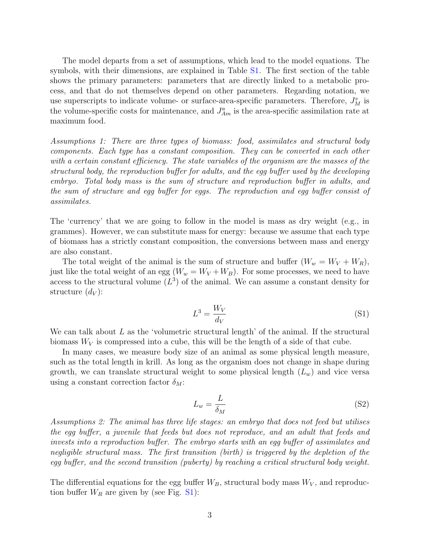The model departs from a set of assumptions, which lead to the model equations. The symbols, with their dimensions, are explained in Table [S1.](#page-1-0) The first section of the table shows the primary parameters: parameters that are directly linked to a metabolic process, and that do not themselves depend on other parameters. Regarding notation, we use superscripts to indicate volume- or surface-area-specific parameters. Therefore,  $J_M^v$  is the volume-specific costs for maintenance, and  $J_{Am}^a$  is the area-specific assimilation rate at maximum food.

Assumptions 1: There are three types of biomass: food, assimilates and structural body components. Each type has a constant composition. They can be converted in each other with a certain constant efficiency. The state variables of the organism are the masses of the structural body, the reproduction buffer for adults, and the egg buffer used by the developing embryo. Total body mass is the sum of structure and reproduction buffer in adults, and the sum of structure and egg buffer for eggs. The reproduction and egg buffer consist of assimilates.

The 'currency' that we are going to follow in the model is mass as dry weight (e.g., in grammes). However, we can substitute mass for energy: because we assume that each type of biomass has a strictly constant composition, the conversions between mass and energy are also constant.

The total weight of the animal is the sum of structure and buffer  $(W_w = W_V + W_R)$ , just like the total weight of an egg  $(W_w = W_V + W_B)$ . For some processes, we need to have access to the structural volume  $(L^3)$  of the animal. We can assume a constant density for structure  $(d_V)$ :

$$
L^3 = \frac{W_V}{d_V} \tag{S1}
$$

We can talk about  $L$  as the 'volumetric structural length' of the animal. If the structural biomass  $W_V$  is compressed into a cube, this will be the length of a side of that cube.

In many cases, we measure body size of an animal as some physical length measure, such as the total length in krill. As long as the organism does not change in shape during growth, we can translate structural weight to some physical length  $(L_w)$  and vice versa using a constant correction factor  $\delta_M$ :

$$
L_w = \frac{L}{\delta_M} \tag{S2}
$$

Assumptions 2: The animal has three life stages: an embryo that does not feed but utilises the egg buffer, a juvenile that feeds but does not reproduce, and an adult that feeds and invests into a reproduction buffer. The embryo starts with an egg buffer of assimilates and negligible structural mass. The first transition (birth) is triggered by the depletion of the egg buffer, and the second transition (puberty) by reaching a critical structural body weight.

The differential equations for the egg buffer  $W_B$ , structural body mass  $W_V$ , and reproduction buffer  $W_R$  are given by (see Fig. [S1\)](#page-0-0):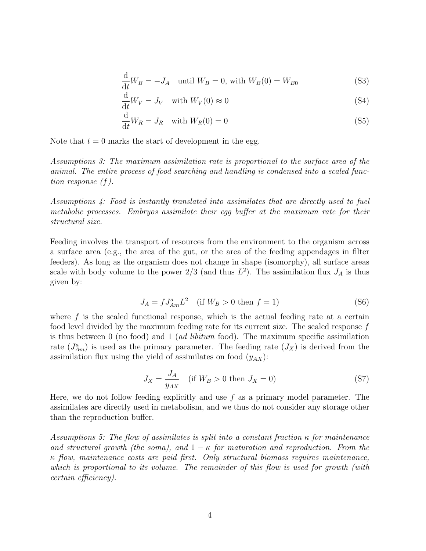$$
\frac{\mathrm{d}}{\mathrm{d}t}W_B = -J_A \quad \text{until } W_B = 0 \text{, with } W_B(0) = W_{B0} \tag{S3}
$$

<span id="page-3-1"></span>
$$
\frac{\mathrm{d}}{\mathrm{d}t}W_V = J_V \quad \text{with } W_V(0) \approx 0 \tag{S4}
$$

$$
\frac{\mathrm{d}}{\mathrm{d}t}W_R = J_R \quad \text{with } W_R(0) = 0 \tag{S5}
$$

Note that  $t = 0$  marks the start of development in the egg.

Assumptions 3: The maximum assimilation rate is proportional to the surface area of the animal. The entire process of food searching and handling is condensed into a scaled function response (f).

Assumptions 4: Food is instantly translated into assimilates that are directly used to fuel metabolic processes. Embryos assimilate their egg buffer at the maximum rate for their structural size.

Feeding involves the transport of resources from the environment to the organism across a surface area (e.g., the area of the gut, or the area of the feeding appendages in filter feeders). As long as the organism does not change in shape (isomorphy), all surface areas scale with body volume to the power  $2/3$  (and thus  $L^2$ ). The assimilation flux  $J_A$  is thus given by:

<span id="page-3-0"></span>
$$
J_A = f J_{Am}^a L^2 \quad \text{(if } W_B > 0 \text{ then } f = 1\text{)}\tag{S6}
$$

where  $f$  is the scaled functional response, which is the actual feeding rate at a certain food level divided by the maximum feeding rate for its current size. The scaled response f is thus between  $\theta$  (no food) and  $1$  (ad libitum food). The maximum specific assimilation rate  $(J_{Am}^a)$  is used as the primary parameter. The feeding rate  $(J_X)$  is derived from the assimilation flux using the yield of assimilates on food  $(y_{AX})$ :

$$
J_X = \frac{J_A}{y_{AX}} \quad \text{(if } W_B > 0 \text{ then } J_X = 0\text{)}\tag{S7}
$$

Here, we do not follow feeding explicitly and use  $f$  as a primary model parameter. The assimilates are directly used in metabolism, and we thus do not consider any storage other than the reproduction buffer.

Assumptions 5: The flow of assimilates is split into a constant fraction  $\kappa$  for maintenance and structural growth (the soma), and  $1 - \kappa$  for maturation and reproduction. From the  $\kappa$  flow, maintenance costs are paid first. Only structural biomass requires maintenance, which is proportional to its volume. The remainder of this flow is used for growth (with certain efficiency).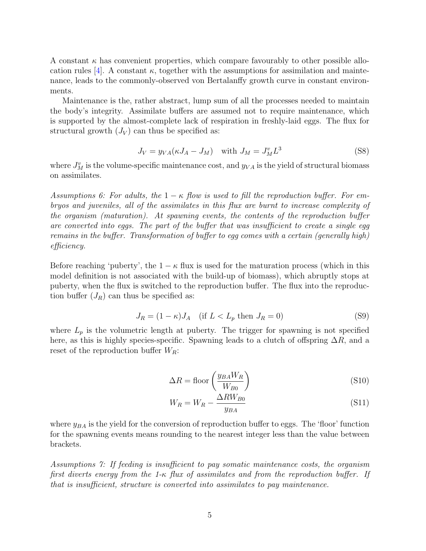A constant  $\kappa$  has convenient properties, which compare favourably to other possible allo-cation rules [\[4\]](#page-12-2). A constant  $\kappa$ , together with the assumptions for assimilation and maintenance, leads to the commonly-observed von Bertalanffy growth curve in constant environments.

Maintenance is the, rather abstract, lump sum of all the processes needed to maintain the body's integrity. Assimilate buffers are assumed not to require maintenance, which is supported by the almost-complete lack of respiration in freshly-laid eggs. The flux for structural growth  $(J_V)$  can thus be specified as:

$$
J_V = y_{VA}(\kappa J_A - J_M) \quad \text{with } J_M = J_M^v L^3 \tag{S8}
$$

where  $J_M^v$  is the volume-specific maintenance cost, and  $y_{VA}$  is the yield of structural biomass on assimilates.

Assumptions 6: For adults, the  $1 - \kappa$  flow is used to fill the reproduction buffer. For embryos and juveniles, all of the assimilates in this flux are burnt to increase complexity of the organism (maturation). At spawning events, the contents of the reproduction buffer are converted into eggs. The part of the buffer that was insufficient to create a single egg remains in the buffer. Transformation of buffer to egg comes with a certain (generally high) efficiency.

Before reaching 'puberty', the  $1 - \kappa$  flux is used for the maturation process (which in this model definition is not associated with the build-up of biomass), which abruptly stops at puberty, when the flux is switched to the reproduction buffer. The flux into the reproduction buffer  $(J_R)$  can thus be specified as:

$$
J_R = (1 - \kappa)J_A \quad \text{(if } L < L_p \text{ then } J_R = 0\text{)}\tag{S9}
$$

where  $L_p$  is the volumetric length at puberty. The trigger for spawning is not specified here, as this is highly species-specific. Spawning leads to a clutch of offspring  $\Delta R$ , and a reset of the reproduction buffer  $W_R$ :

$$
\Delta R = \text{floor}\left(\frac{y_{BA}W_R}{W_{B0}}\right) \tag{S10}
$$

$$
W_R = W_R - \frac{\Delta RW_{B0}}{y_{BA}} \tag{S11}
$$

where  $y_{BA}$  is the yield for the conversion of reproduction buffer to eggs. The 'floor' function for the spawning events means rounding to the nearest integer less than the value between brackets.

Assumptions 7: If feeding is insufficient to pay somatic maintenance costs, the organism first diverts energy from the 1- $\kappa$  flux of assimilates and from the reproduction buffer. If that is insufficient, structure is converted into assimilates to pay maintenance.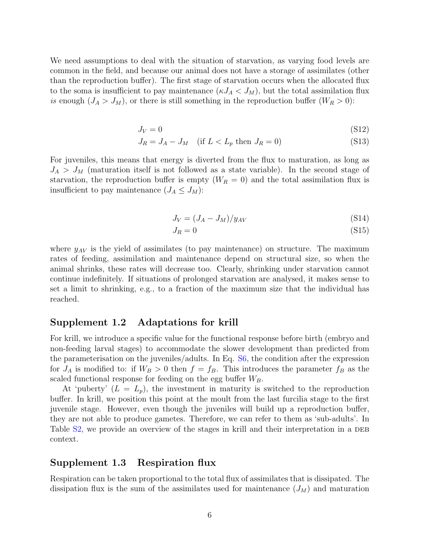We need assumptions to deal with the situation of starvation, as varying food levels are common in the field, and because our animal does not have a storage of assimilates (other than the reproduction buffer). The first stage of starvation occurs when the allocated flux to the soma is insufficient to pay maintenance  $(\kappa J_A < J_M)$ , but the total assimilation flux is enough  $(J_A > J_M)$ , or there is still something in the reproduction buffer  $(W_R > 0)$ :

$$
J_V = 0 \tag{S12}
$$

$$
J_R = J_A - J_M \quad \text{(if } L < L_p \text{ then } J_R = 0\text{)}\tag{S13}
$$

For juveniles, this means that energy is diverted from the flux to maturation, as long as  $J_A > J_M$  (maturation itself is not followed as a state variable). In the second stage of starvation, the reproduction buffer is empty  $(W_R = 0)$  and the total assimilation flux is insufficient to pay maintenance  $(J_A \leq J_M)$ :

$$
J_V = (J_A - J_M)/y_{AV}
$$
\n(S14)

$$
J_R = 0 \tag{S15}
$$

where  $y_{AV}$  is the yield of assimilates (to pay maintenance) on structure. The maximum rates of feeding, assimilation and maintenance depend on structural size, so when the animal shrinks, these rates will decrease too. Clearly, shrinking under starvation cannot continue indefinitely. If situations of prolonged starvation are analysed, it makes sense to set a limit to shrinking, e.g., to a fraction of the maximum size that the individual has reached.

### Supplement 1.2 Adaptations for krill

For krill, we introduce a specific value for the functional response before birth (embryo and non-feeding larval stages) to accommodate the slower development than predicted from the parameterisation on the juveniles/adults. In Eq. [S6,](#page-3-0) the condition after the expression for  $J_A$  is modified to: if  $W_B > 0$  then  $f = f_B$ . This introduces the parameter  $f_B$  as the scaled functional response for feeding on the egg buffer  $W_B$ .

At 'puberty'  $(L = L_p)$ , the investment in maturity is switched to the reproduction buffer. In krill, we position this point at the moult from the last furcilia stage to the first juvenile stage. However, even though the juveniles will build up a reproduction buffer, they are not able to produce gametes. Therefore, we can refer to them as 'sub-adults'. In Table [S2,](#page-6-0) we provide an overview of the stages in krill and their interpretation in a DEB context.

### Supplement 1.3 Respiration flux

Respiration can be taken proportional to the total flux of assimilates that is dissipated. The dissipation flux is the sum of the assimilates used for maintenance  $(J_M)$  and maturation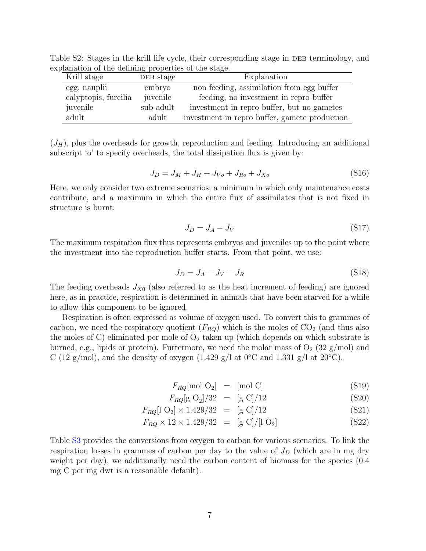| Krill stage          | DEB stage | Explanation                                   |
|----------------------|-----------|-----------------------------------------------|
| egg, nauplii         | embryo    | non feeding, assimilation from egg buffer     |
| calyptopis, furcilia | juvenile  | feeding, no investment in repro buffer        |
| juvenile             | sub-adult | investment in repro buffer, but no gametes    |
| adult                | adult     | investment in repro buffer, gamete production |

Table S2: Stages in the krill life cycle, their corresponding stage in DEB terminology, and explanation of the defining properties of the stage.

 $(J_H)$ , plus the overheads for growth, reproduction and feeding. Introducing an additional subscript 'o' to specify overheads, the total dissipation flux is given by:

$$
J_D = J_M + J_H + J_{Vo} + J_{Ro} + J_{Xo}
$$
 (S16)

Here, we only consider two extreme scenarios; a minimum in which only maintenance costs contribute, and a maximum in which the entire flux of assimilates that is not fixed in structure is burnt:

<span id="page-6-0"></span>
$$
J_D = J_A - J_V \tag{S17}
$$

The maximum respiration flux thus represents embryos and juveniles up to the point where the investment into the reproduction buffer starts. From that point, we use:

$$
J_D = J_A - J_V - J_R \tag{S18}
$$

The feeding overheads  $J_{X0}$  (also referred to as the heat increment of feeding) are ignored here, as in practice, respiration is determined in animals that have been starved for a while to allow this component to be ignored.

Respiration is often expressed as volume of oxygen used. To convert this to grammes of carbon, we need the respiratory quotient  $(F_{RQ})$  which is the moles of  $CO<sub>2</sub>$  (and thus also the moles of C) eliminated per mole of  $O_2$  taken up (which depends on which substrate is burned, e.g., lipids or protein). Furtermore, we need the molar mass of  $O_2$  (32 g/mol) and C (12 g/mol), and the density of oxygen (1.429 g/l at  $0°C$  and 1.331 g/l at  $20°C$ ).

$$
F_{RQ}[\text{mol O}_2] = [\text{mol C}] \tag{S19}
$$

$$
F_{RQ}[\text{g O}_2]/32 = [\text{g C}]/12 \tag{S20}
$$

$$
F_{RQ}[1 \ 0_2] \times 1.429/32 = [g \ C]/12 \tag{S21}
$$

$$
F_{RQ} \times 12 \times 1.429/32 = [g C]/[1 O_2]
$$
 (S22)

Table [S3](#page-7-0) provides the conversions from oxygen to carbon for various scenarios. To link the respiration losses in grammes of carbon per day to the value of  $J_D$  (which are in mg dry weight per day), we additionally need the carbon content of biomass for the species (0.4 mg C per mg dwt is a reasonable default).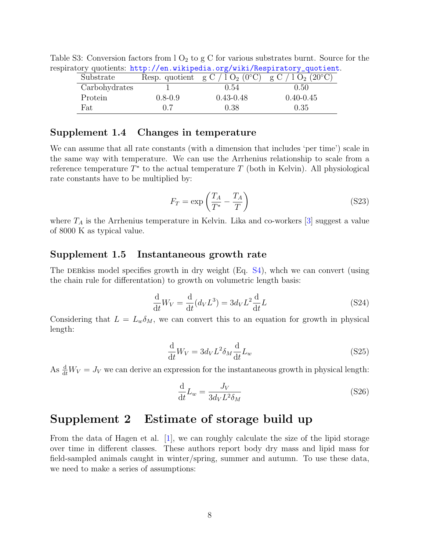|               |             |                                           | ttory quotients: nttp://en.wikipedia.org/wiki/hespiratory_quotient |
|---------------|-------------|-------------------------------------------|--------------------------------------------------------------------|
| Substrate     |             | Resp. quotient $g C / 1 O_2 (0^{\circ}C)$ | g C / 1 O <sub>2</sub> (20 <sup>o</sup> C)                         |
| Carbohydrates |             | (0.54)                                    | (0.50)                                                             |
| Protein       | $0.8 - 0.9$ | $0.43 - 0.48$                             | $0.40 - 0.45$                                                      |
| Fat           | 0.7         | 0.38                                      | 0.35                                                               |

Table S3: Conversion factors from  $1 O_2$  to g C for various substrates burnt. Source for the respiratory quotients: http://en.wikipedia.org/wiki/Respiratory

#### Supplement 1.4 Changes in temperature

We can assume that all rate constants (with a dimension that includes 'per time') scale in the same way with temperature. We can use the Arrhenius relationship to scale from a reference temperature  $T^*$  to the actual temperature  $T$  (both in Kelvin). All physiological rate constants have to be multiplied by:

<span id="page-7-0"></span>
$$
F_T = \exp\left(\frac{T_A}{T^*} - \frac{T_A}{T}\right) \tag{S23}
$$

where  $T_A$  is the Arrhenius temperature in Kelvin. Lika and co-workers [\[3\]](#page-12-1) suggest a value of 8000 K as typical value.

#### Supplement 1.5 Instantaneous growth rate

The DEB kiss model specifies growth in dry weight  $(Eq. S4)$  $(Eq. S4)$ , which we can convert (using the chain rule for differentation) to growth on volumetric length basis:

$$
\frac{\mathrm{d}}{\mathrm{d}t}W_V = \frac{\mathrm{d}}{\mathrm{d}t}(d_V L^3) = 3d_V L^2 \frac{\mathrm{d}}{\mathrm{d}t}L\tag{S24}
$$

Considering that  $L = L_w \delta_M$ , we can convert this to an equation for growth in physical length:

$$
\frac{\mathrm{d}}{\mathrm{d}t}W_V = 3d_V L^2 \delta_M \frac{\mathrm{d}}{\mathrm{d}t} L_w \tag{S25}
$$

As  $\frac{d}{dt}W_V = J_V$  we can derive an expression for the instantaneous growth in physical length:

$$
\frac{\mathrm{d}}{\mathrm{d}t}L_w = \frac{J_V}{3d_V L^2 \delta_M} \tag{S26}
$$

## Supplement 2 Estimate of storage build up

From the data of Hagen et al. [\[1\]](#page-12-3), we can roughly calculate the size of the lipid storage over time in different classes. These authors report body dry mass and lipid mass for field-sampled animals caught in winter/spring, summer and autumn. To use these data, we need to make a series of assumptions: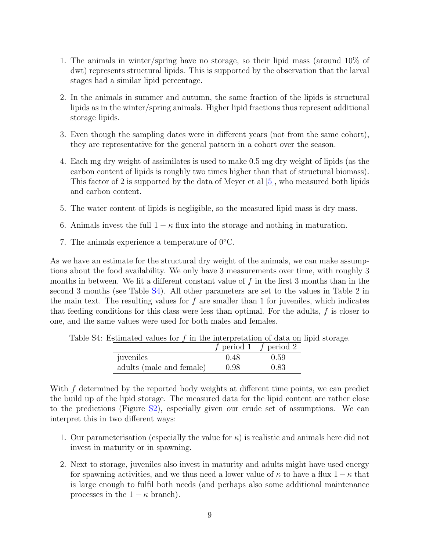- 1. The animals in winter/spring have no storage, so their lipid mass (around 10% of dwt) represents structural lipids. This is supported by the observation that the larval stages had a similar lipid percentage.
- 2. In the animals in summer and autumn, the same fraction of the lipids is structural lipids as in the winter/spring animals. Higher lipid fractions thus represent additional storage lipids.
- 3. Even though the sampling dates were in different years (not from the same cohort), they are representative for the general pattern in a cohort over the season.
- 4. Each mg dry weight of assimilates is used to make 0.5 mg dry weight of lipids (as the carbon content of lipids is roughly two times higher than that of structural biomass). This factor of 2 is supported by the data of Meyer et al [\[5\]](#page-12-4), who measured both lipids and carbon content.
- 5. The water content of lipids is negligible, so the measured lipid mass is dry mass.
- 6. Animals invest the full  $1 \kappa$  flux into the storage and nothing in maturation.
- 7. The animals experience a temperature of 0◦C.

As we have an estimate for the structural dry weight of the animals, we can make assumptions about the food availability. We only have 3 measurements over time, with roughly 3 months in between. We fit a different constant value of f in the first 3 months than in the second 3 months (see Table [S4\)](#page-8-0). All other parameters are set to the values in Table 2 in the main text. The resulting values for  $f$  are smaller than 1 for juveniles, which indicates that feeding conditions for this class were less than optimal. For the adults,  $f$  is closer to one, and the same values were used for both males and females.

Table S4: Estimated values for  $f$  in the interpretation of data on lipid storage.

<span id="page-8-0"></span>

|                          |      | f period 1 f period 2 |
|--------------------------|------|-----------------------|
| juveniles                | 0.48 | 0.59                  |
| adults (male and female) | 0.98 | 0.83                  |

With  $f$  determined by the reported body weights at different time points, we can predict the build up of the lipid storage. The measured data for the lipid content are rather close to the predictions (Figure [S2\)](#page-9-0), especially given our crude set of assumptions. We can interpret this in two different ways:

- 1. Our parameterisation (especially the value for  $\kappa$ ) is realistic and animals here did not invest in maturity or in spawning.
- 2. Next to storage, juveniles also invest in maturity and adults might have used energy for spawning activities, and we thus need a lower value of  $\kappa$  to have a flux  $1 - \kappa$  that is large enough to fulfil both needs (and perhaps also some additional maintenance processes in the  $1 - \kappa$  branch).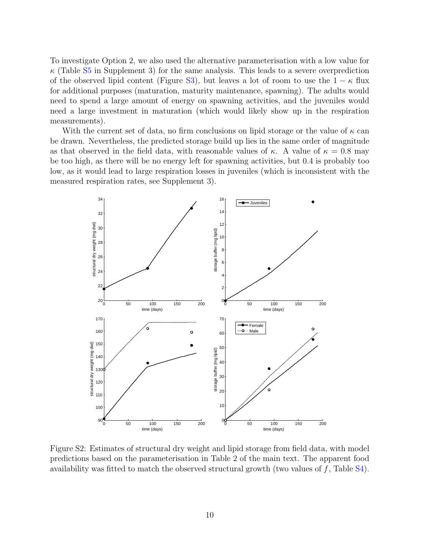To investigate Option 2, we also used the alternative parameterisation with a low value for  $\kappa$  (Table [S5](#page-10-0) in Supplement 3) for the same analysis. This leads to a severe overprediction of the observed lipid content (Figure [S3\)](#page-10-1), but leaves a lot of room to use the  $1 - \kappa$  flux for additional purposes (maturation, maturity maintenance, spawning). The adults would need to spend a large amount of energy on spawning activities, and the juveniles would need a large investment in maturation (which would likely show up in the respiration measurements).

With the current set of data, no firm conclusions on lipid storage or the value of  $\kappa$  can be drawn. Nevertheless, the predicted storage build up lies in the same order of magnitude as that observed in the field data, with reasonable values of  $\kappa$ . A value of  $\kappa = 0.8$  may be too high, as there will be no energy left for spawning activities, but 0.4 is probably too low, as it would lead to large respiration losses in juveniles (which is inconsistent with the measured respiration rates, see Supplement 3).



<span id="page-9-0"></span>Figure S2: Estimates of structural dry weight and lipid storage from field data, with model predictions based on the parameterisation in Table 2 of the main text. The apparent food availability was fitted to match the observed structural growth (two values of  $f$ , Table [S4\)](#page-8-0).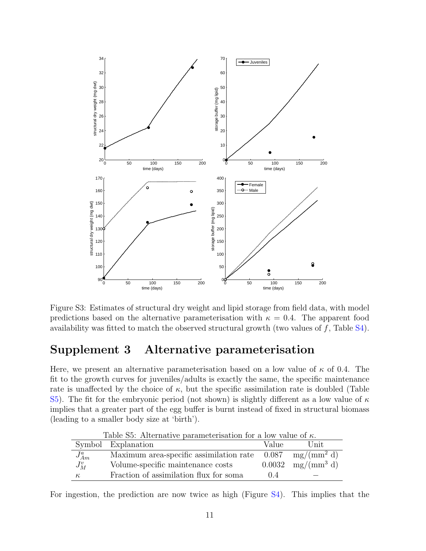

<span id="page-10-1"></span>Figure S3: Estimates of structural dry weight and lipid storage from field data, with model predictions based on the alternative parameterisation with  $\kappa = 0.4$ . The apparent food availability was fitted to match the observed structural growth (two values of  $f$ , Table [S4\)](#page-8-0).

# Supplement 3 Alternative parameterisation

Here, we present an alternative parameterisation based on a low value of  $\kappa$  of 0.4. The fit to the growth curves for juveniles/adults is exactly the same, the specific maintenance rate is unaffected by the choice of  $\kappa$ , but the specific assimilation rate is doubled (Table [S5\)](#page-10-0). The fit for the embryonic period (not shown) is slightly different as a low value of  $\kappa$ implies that a greater part of the egg buffer is burnt instead of fixed in structural biomass (leading to a smaller body size at 'birth').

| Table S5: Alternative parameterisation for a low value of $\kappa$ . |                                                                             |        |               |
|----------------------------------------------------------------------|-----------------------------------------------------------------------------|--------|---------------|
|                                                                      | Symbol Explanation                                                          | Value  | Unit          |
| $J_{Am}^a$                                                           | Maximum area-specific assimilation rate $0.087 \text{ mg/(mm}^2 \text{ d})$ |        |               |
| $J_M^v$                                                              | Volume-specific maintenance costs                                           | 0.0032 | $mg/(mm^3 d)$ |
| $\kappa$                                                             | Fraction of assimilation flux for soma                                      | (14)   |               |

<span id="page-10-0"></span>Table S5: Alternative parameterisation for a low value of  $\kappa$ .

For ingestion, the prediction are now twice as high (Figure [S4\)](#page-11-0). This implies that the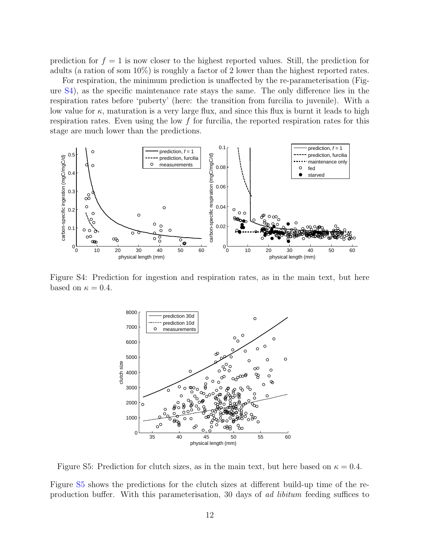prediction for  $f = 1$  is now closer to the highest reported values. Still, the prediction for adults (a ration of som 10%) is roughly a factor of 2 lower than the highest reported rates.

For respiration, the minimum prediction is unaffected by the re-parameterisation (Figure [S4\)](#page-11-0), as the specific maintenance rate stays the same. The only difference lies in the respiration rates before 'puberty' (here: the transition from furcilia to juvenile). With a low value for  $\kappa$ , maturation is a very large flux, and since this flux is burnt it leads to high respiration rates. Even using the low  $f$  for furcilia, the reported respiration rates for this stage are much lower than the predictions.



Figure S4: Prediction for ingestion and respiration rates, as in the main text, but here based on  $\kappa = 0.4$ .

<span id="page-11-1"></span><span id="page-11-0"></span>

Figure S5: Prediction for clutch sizes, as in the main text, but here based on  $\kappa = 0.4$ .

Figure [S5](#page-11-1) shows the predictions for the clutch sizes at different build-up time of the reproduction buffer. With this parameterisation, 30 days of ad libitum feeding suffices to